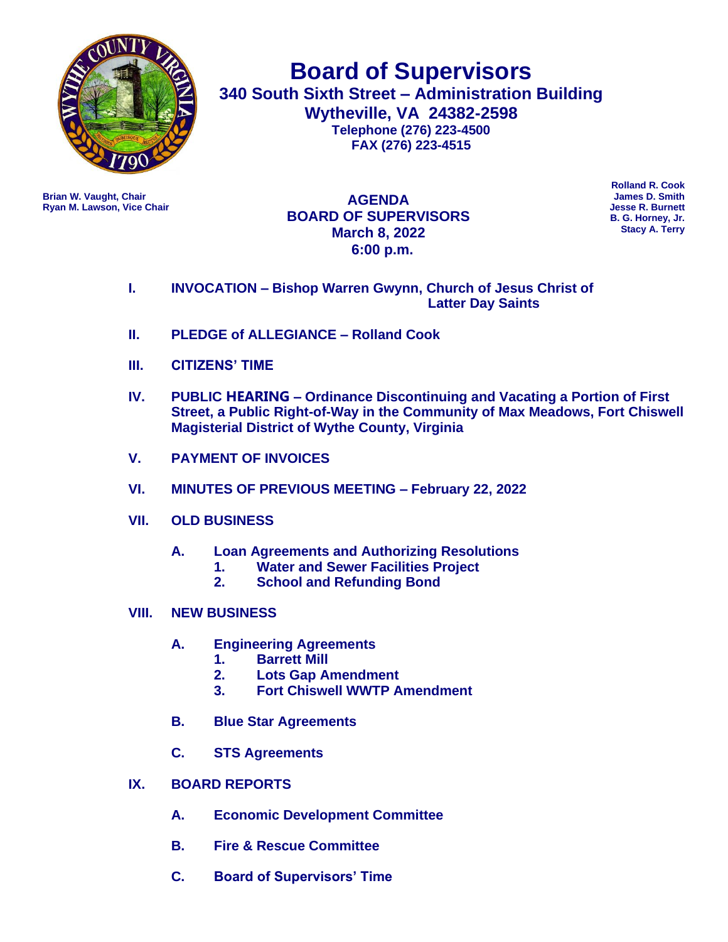

**Board of Supervisors 340 South Sixth Street – Administration Building Wytheville, VA 24382-2598 Telephone (276) 223-4500 FAX (276) 223-4515**

**Ryan M. Lawson, Vice Chair** 

**Brian W. Vaught, Chair James D. Smith AGENDA BOARD OF SUPERVISORS March 8, 2022 6:00 p.m.**

**Rolland R. Cook B. G. Horney, Jr. Stacy A. Terry**

- **I. INVOCATION – Bishop Warren Gwynn, Church of Jesus Christ of Latter Day Saints**
- **II. PLEDGE of ALLEGIANCE – Rolland Cook**
- **III. CITIZENS' TIME**
- **IV. PUBLIC HEARING – Ordinance Discontinuing and Vacating a Portion of First Street, a Public Right-of-Way in the Community of Max Meadows, Fort Chiswell Magisterial District of Wythe County, Virginia**
- **V. PAYMENT OF INVOICES**
- **VI. MINUTES OF PREVIOUS MEETING – February 22, 2022**
- **VII. OLD BUSINESS**
	- **A. Loan Agreements and Authorizing Resolutions**
		- **1. Water and Sewer Facilities Project**
		- **2. School and Refunding Bond**
- **VIII. NEW BUSINESS** 
	- **A. Engineering Agreements**
		- **1. Barrett Mill**
		- **2. Lots Gap Amendment**
		- **3. Fort Chiswell WWTP Amendment**
	- **B. Blue Star Agreements**
	- **C. STS Agreements**
- **IX. BOARD REPORTS**
	- **A. Economic Development Committee**
	- **B. Fire & Rescue Committee**
	- **C. Board of Supervisors' Time**